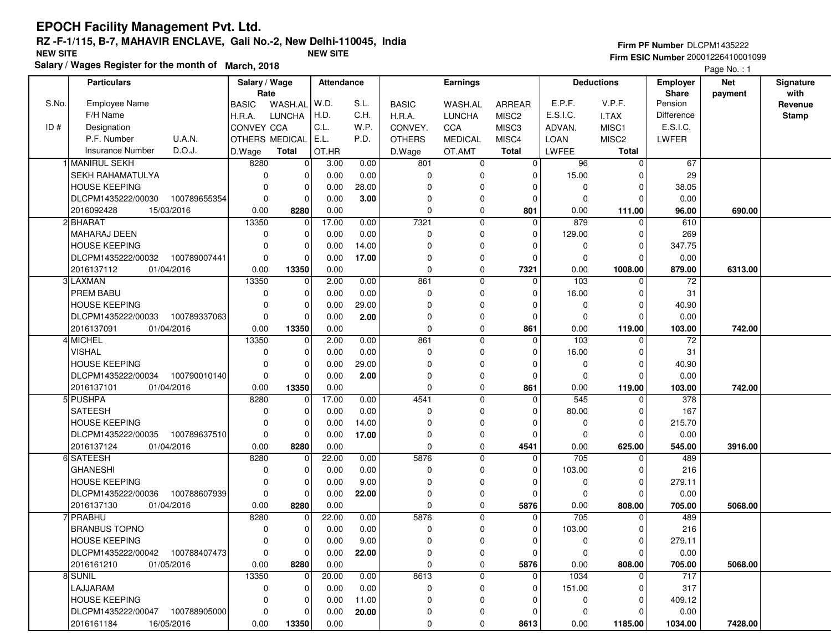|  | Firm PF Number DLCPM1435222 |
|--|-----------------------------|
|  |                             |

 **Firm ESIC Number** 20001226410001099Page No. : 1

|       | <b>Particulars</b>                 | Salary / Wage     |                | Attendance |       |               | <b>Earnings</b> |                   |             | <b>Deductions</b> | Employer     | <b>Net</b> | Signature    |
|-------|------------------------------------|-------------------|----------------|------------|-------|---------------|-----------------|-------------------|-------------|-------------------|--------------|------------|--------------|
|       |                                    | Rate              |                |            |       |               |                 |                   |             |                   | <b>Share</b> | payment    | with         |
| S.No. | <b>Employee Name</b>               | <b>BASIC</b>      | WASH.AL        | W.D.       | S.L.  | <b>BASIC</b>  | WASH.AL         | ARREAR            | E.P.F.      | V.P.F.            | Pension      |            | Revenue      |
|       | F/H Name                           | H.R.A.            | <b>LUNCHA</b>  | H.D.       | C.H.  | H.R.A.        | <b>LUNCHA</b>   | MISC <sub>2</sub> | E.S.I.C.    | I.TAX             | Difference   |            | <b>Stamp</b> |
| ID#   | Designation                        | <b>CONVEY CCA</b> |                | C.L.       | W.P.  | CONVEY.       | CCA             | MISC <sub>3</sub> | ADVAN.      | MISC1             | E.S.I.C.     |            |              |
|       | <b>U.A.N.</b><br>P.F. Number       | OTHERS MEDICAL    |                | E.L.       | P.D.  | <b>OTHERS</b> | <b>MEDICAL</b>  | MISC4             | <b>LOAN</b> | MISC <sub>2</sub> | LWFER        |            |              |
|       | D.O.J.<br>Insurance Number         | D.Wage            | <b>Total</b>   | OT.HR      |       | D.Wage        | OT.AMT          | <b>Total</b>      | LWFEE       | <b>Total</b>      |              |            |              |
|       | 1 MANIRUL SEKH                     | 8280              | $\overline{0}$ | 3.00       | 0.00  | 801           | 0               | 0                 | 96          | 0                 | 67           |            |              |
|       | <b>SEKH RAHAMATULYA</b>            | 0                 | 0              | 0.00       | 0.00  | 0             | $\Omega$        | $\Omega$          | 15.00       | O                 | 29           |            |              |
|       | <b>HOUSE KEEPING</b>               | $\Omega$          | 0              | 0.00       | 28.00 | 0             |                 |                   | 0           | $\Omega$          | 38.05        |            |              |
|       | DLCPM1435222/00030<br>100789655354 | $\Omega$          | 0              | 0.00       | 3.00  | $\Omega$      | $\Omega$        | $\Omega$          | $\Omega$    | $\Omega$          | 0.00         |            |              |
|       | 15/03/2016<br>2016092428           | 0.00              | 8280           | 0.00       |       | $\Omega$      | $\mathbf 0$     | 801               | 0.00        | 111.00            | 96.00        | 690.00     |              |
|       | 2 BHARAT                           | 13350             | 0              | 17.00      | 0.00  | 7321          | $\mathbf 0$     | $\Omega$          | 879         | $\Omega$          | 610          |            |              |
|       | <b>MAHARAJ DEEN</b>                | 0                 | 0              | 0.00       | 0.00  | 0             | $\mathbf 0$     | $\Omega$          | 129.00      | 0                 | 269          |            |              |
|       | <b>HOUSE KEEPING</b>               | 0                 | 0              | 0.00       | 14.00 | $\Omega$      | 0               | O                 | 0           | 0                 | 347.75       |            |              |
|       | 100789007441<br>DLCPM1435222/00032 | $\mathbf 0$       | 0              | 0.00       | 17.00 | $\Omega$      | 0               | 0                 | $\mathbf 0$ | $\Omega$          | 0.00         |            |              |
|       | 2016137112<br>01/04/2016           | 0.00              | 13350          | 0.00       |       | $\pmb{0}$     | 0               | 7321              | 0.00        | 1008.00           | 879.00       | 6313.00    |              |
|       | 3 LAXMAN                           | 13350             | 0              | 2.00       | 0.00  | 861           | $\mathbf 0$     | $\Omega$          | 103         | $\Omega$          | 72           |            |              |
|       | PREM BABU                          | $\mathbf 0$       | 0              | 0.00       | 0.00  | 0             | $\Omega$        | $\Omega$          | 16.00       | O                 | 31           |            |              |
|       | <b>HOUSE KEEPING</b>               | $\Omega$          | 0              | 0.00       | 29.00 | $\Omega$      | $\Omega$        | $\Omega$          | 0           | $\Omega$          | 40.90        |            |              |
|       | DLCPM1435222/00033<br>100789337063 | $\Omega$          | 0              | 0.00       | 2.00  | $\Omega$      | $\Omega$        | $\Omega$          | $\Omega$    | $\Omega$          | 0.00         |            |              |
|       | 2016137091<br>01/04/2016           | 0.00              | 13350          | 0.00       |       | $\mathbf 0$   | 0               | 861               | 0.00        | 119.00            | 103.00       | 742.00     |              |
|       | 4 MICHEL                           | 13350             | 0              | 2.00       | 0.00  | 861           | $\mathbf 0$     | $\Omega$          | 103         | $\Omega$          | 72           |            |              |
|       | <b>VISHAL</b>                      | 0                 | 0              | 0.00       | 0.00  | 0             | $\Omega$        | $\Omega$          | 16.00       | 0                 | 31           |            |              |
|       | <b>HOUSE KEEPING</b>               | $\Omega$          | 0              | 0.00       | 29.00 | $\Omega$      | 0               | 0                 | 0           | 0                 | 40.90        |            |              |
|       | DLCPM1435222/00034 100790010140    | $\mathbf 0$       | 0              | 0.00       | 2.00  | $\Omega$      | $\Omega$        | $\Omega$          | $\Omega$    | $\Omega$          | 0.00         |            |              |
|       | 2016137101<br>01/04/2016           | 0.00              | 13350          | 0.00       |       | $\mathbf 0$   | 0               | 861               | 0.00        | 119.00            | 103.00       | 742.00     |              |
|       | 5 PUSHPA                           | 8280              | 0              | 17.00      | 0.00  | 4541          | $\mathbf 0$     | $\Omega$          | 545         | $\Omega$          | 378          |            |              |
|       | <b>SATEESH</b>                     | $\mathbf 0$       | 0              | 0.00       | 0.00  | $\Omega$      | $\mathbf 0$     | $\Omega$          | 80.00       | $\Omega$          | 167          |            |              |
|       | <b>HOUSE KEEPING</b>               | 0                 | 0              | 0.00       | 14.00 | $\mathbf 0$   | $\Omega$        | $\Omega$          | 0           | $\Omega$          | 215.70       |            |              |
|       | DLCPM1435222/00035<br>100789637510 | $\mathbf 0$       | $\mathbf 0$    | 0.00       | 17.00 | 0             | 0               | $\Omega$          | $\mathbf 0$ | 0                 | 0.00         |            |              |
|       | 2016137124<br>01/04/2016           | 0.00              | 8280           | 0.00       |       | $\mathbf 0$   | $\mathbf 0$     | 4541              | 0.00        | 625.00            | 545.00       | 3916.00    |              |
|       | 6 SATEESH                          | 8280              | 0              | 22.00      | 0.00  | 5876          | $\mathbf 0$     | 0                 | 705         | 0                 | 489          |            |              |
|       | <b>GHANESHI</b>                    | $\mathbf 0$       | 0              | 0.00       | 0.00  | $\mathbf 0$   | $\Omega$        | 0                 | 103.00      | 0                 | 216          |            |              |
|       | <b>HOUSE KEEPING</b>               | $\mathbf 0$       | 0              | 0.00       | 9.00  | $\Omega$      | $\Omega$        |                   | 0           | $\Omega$          | 279.11       |            |              |
|       | DLCPM1435222/00036<br>100788607939 | $\mathbf 0$       | 0              | 0.00       | 22.00 | $\Omega$      | 0               | $\Omega$          | 0           | $\Omega$          | 0.00         |            |              |
|       | 2016137130<br>01/04/2016           | 0.00              | 8280           | 0.00       |       | $\mathbf 0$   | 0               | 5876              | 0.00        | 808.00            | 705.00       | 5068.00    |              |
|       | <b>7 PRABHU</b>                    | 8280              | 0              | 22.00      | 0.00  | 5876          | $\mathbf 0$     | $\Omega$          | 705         | 0                 | 489          |            |              |
|       | <b>BRANBUS TOPNO</b>               | 0                 | 0              | 0.00       | 0.00  | 0             | 0               | 0                 | 103.00      | ŋ                 | 216          |            |              |
|       | <b>HOUSE KEEPING</b>               | $\mathbf 0$       | $\overline{0}$ | 0.00       | 9.00  | $\mathbf 0$   | 0               | $\Omega$          | $\mathbf 0$ | $\Omega$          | 279.11       |            |              |
|       | DLCPM1435222/00042 100788407473    | 0                 | $\overline{0}$ | 0.00       | 22.00 | 0             | 0               | 0                 | 0           | 0                 | 0.00         |            |              |
|       | 2016161210<br>01/05/2016           | 0.00              | 8280           | 0.00       |       | 0             | 0               | 5876              | 0.00        | 808.00            | 705.00       | 5068.00    |              |
|       | 8 SUNIL                            | 13350             | 0              | 20.00      | 0.00  | 8613          | 0               | 0                 | 1034        | 0                 | 717          |            |              |
|       | LAJJARAM                           | $\mathbf 0$       | 0              | 0.00       | 0.00  | 0             | 0               | 0                 | 151.00      | 0                 | 317          |            |              |
|       | <b>HOUSE KEEPING</b>               | 0                 | 0              | 0.00       | 11.00 | 0             | 0               |                   | 0           | $\Omega$          | 409.12       |            |              |
|       | DLCPM1435222/00047 100788905000    | 0                 | 0              | 0.00       | 20.00 | 0             | 0               |                   | 0           | 0                 | 0.00         |            |              |
|       | 2016161184<br>16/05/2016           | 0.00              | 13350          | 0.00       |       | 0             | 0               | 8613              | 0.00        | 1185.00           | 1034.00      | 7428.00    |              |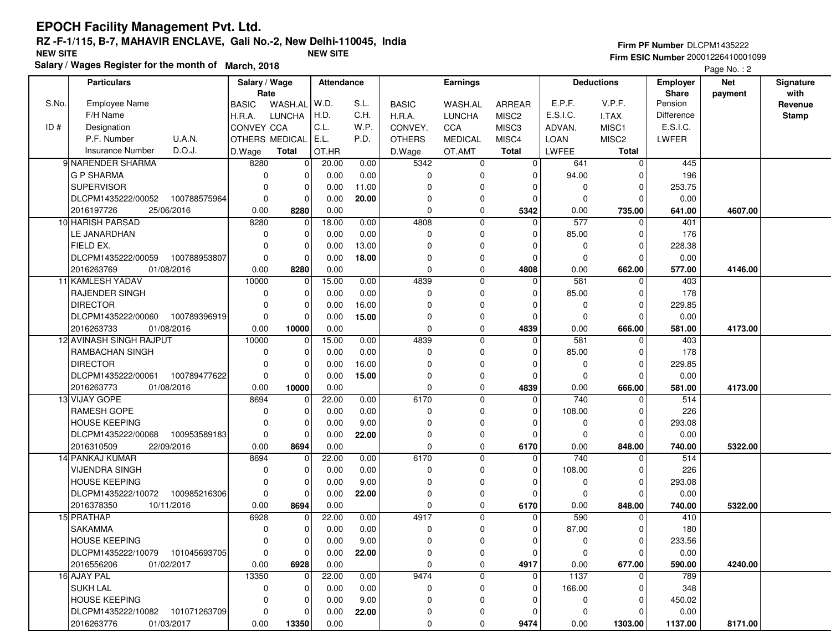### **EPOCH Facility Management Pvt. Ltd. RZ -F-1/115, B-7, MAHAVIR ENCLAVE, Gali No.-2, New Delhi-110045, IndiaFirm ESIC Number** 20001226410001099 **NEW SITE NEW SITE**

**Salary / Wages Register for the month of March, 2018**

|  | <b>Firm PF Number DLCPM1435222</b> |  |  |  |  |  |  |  |
|--|------------------------------------|--|--|--|--|--|--|--|
|  |                                    |  |  |  |  |  |  |  |

Page No. : 2

|       | <b>Particulars</b>                 | Salary / Wage  |               | Attendance |       |               | <b>Earnings</b> |                   |             | <b>Deductions</b> | <b>Employer</b>   | <b>Net</b> | Signature    |
|-------|------------------------------------|----------------|---------------|------------|-------|---------------|-----------------|-------------------|-------------|-------------------|-------------------|------------|--------------|
|       |                                    | Rate           |               |            |       |               |                 |                   |             |                   | <b>Share</b>      | payment    | with         |
| S.No. | <b>Employee Name</b>               | <b>BASIC</b>   | WASH.AL       | W.D.       | S.L.  | <b>BASIC</b>  | WASH.AL         | ARREAR            | E.P.F.      | V.P.F.            | Pension           |            | Revenue      |
|       | F/H Name                           | H.R.A.         | <b>LUNCHA</b> | H.D.       | C.H.  | H.R.A.        | <b>LUNCHA</b>   | MISC <sub>2</sub> | E.S.I.C.    | I.TAX             | <b>Difference</b> |            | <b>Stamp</b> |
| ID#   | Designation                        | CONVEY CCA     |               | C.L.       | W.P.  | CONVEY.       | CCA             | MISC3             | ADVAN.      | MISC1             | E.S.I.C.          |            |              |
|       | U.A.N.<br>P.F. Number              | OTHERS MEDICAL |               | E.L.       | P.D.  | <b>OTHERS</b> | <b>MEDICAL</b>  | MISC4             | <b>LOAN</b> | MISC <sub>2</sub> | LWFER             |            |              |
|       | Insurance Number<br>D.O.J.         | D.Wage         | Total         | OT.HR      |       | D.Wage        | OT.AMT          | <b>Total</b>      | LWFEE       | <b>Total</b>      |                   |            |              |
|       | 9 NARENDER SHARMA                  | 8280           | $\mathbf 0$   | 20.00      | 0.00  | 5342          | 0               | $\mathbf 0$       | 641         | $\overline{0}$    | 445               |            |              |
|       | <b>G P SHARMA</b>                  | $\Omega$       | 0             | 0.00       | 0.00  | 0             | 0               | $\Omega$          | 94.00       | $\Omega$          | 196               |            |              |
|       | <b>SUPERVISOR</b>                  | $\Omega$       | 0             | 0.00       | 11.00 | $\Omega$      | $\Omega$        | $\Omega$          | 0           | $\Omega$          | 253.75            |            |              |
|       | DLCPM1435222/00052 100788575964    | $\Omega$       | $\mathbf 0$   | 0.00       | 20.00 | $\Omega$      | 0               | $\Omega$          | $\Omega$    | $\Omega$          | 0.00              |            |              |
|       | 25/06/2016<br>2016197726           | 0.00           | 8280          | 0.00       |       | $\mathbf 0$   | $\mathbf 0$     | 5342              | 0.00        | 735.00            | 641.00            | 4607.00    |              |
|       | 10 HARISH PARSAD                   | 8280           | 0             | 18.00      | 0.00  | 4808          | $\mathbf 0$     | $\Omega$          | 577         | $\Omega$          | 401               |            |              |
|       | LE JANARDHAN                       | 0              | 0             | 0.00       | 0.00  | 0             | $\Omega$        | $\Omega$          | 85.00       | $\Omega$          | 176               |            |              |
|       | FIELD EX.                          | $\Omega$       | 0             | 0.00       | 13.00 | $\Omega$      | $\Omega$        | $\Omega$          | $\mathbf 0$ | 0                 | 228.38            |            |              |
|       | DLCPM1435222/00059 100788953807    | $\mathbf 0$    | $\mathbf 0$   | 0.00       | 18.00 | 0             | 0               | $\Omega$          | $\mathbf 0$ | $\Omega$          | 0.00              |            |              |
|       | 2016263769<br>01/08/2016           | 0.00           | 8280          | 0.00       |       | $\pmb{0}$     | 0               | 4808              | 0.00        | 662.00            | 577.00            | 4146.00    |              |
|       | 11 KAMLESH YADAV                   | 10000          | $\mathbf 0$   | 15.00      | 0.00  | 4839          | $\mathbf 0$     | $\Omega$          | 581         | $\Omega$          | 403               |            |              |
|       | <b>RAJENDER SINGH</b>              | 0              | 0             | 0.00       | 0.00  | $\mathbf 0$   | $\Omega$        | $\Omega$          | 85.00       | $\Omega$          | 178               |            |              |
|       | <b>DIRECTOR</b>                    | $\Omega$       | 0             | 0.00       | 16.00 | 0             | O               | $\Omega$          | 0           | $\Omega$          | 229.85            |            |              |
|       | DLCPM1435222/00060 100789396919    | $\mathbf 0$    | $\mathbf 0$   | 0.00       | 15.00 | 0             | 0               | $\Omega$          | $\mathbf 0$ | $\Omega$          | 0.00              |            |              |
|       | 2016263733<br>01/08/2016           | 0.00           | 10000         | 0.00       |       | $\mathbf 0$   | 0               | 4839              | 0.00        | 666.00            | 581.00            | 4173.00    |              |
|       | 12 AVINASH SINGH RAJPUT            | 10000          | 0             | 15.00      | 0.00  | 4839          | 0               | 0                 | 581         | 0                 | 403               |            |              |
|       | RAMBACHAN SINGH                    | $\Omega$       | 0             | 0.00       | 0.00  | $\mathbf 0$   | $\Omega$        | $\Omega$          | 85.00       | $\Omega$          | 178               |            |              |
|       | <b>DIRECTOR</b>                    | $\Omega$       | 0             | 0.00       | 16.00 | $\Omega$      | $\Omega$        | <sup>0</sup>      | 0           | $\Omega$          | 229.85            |            |              |
|       | DLCPM1435222/00061<br>100789477622 | $\Omega$       | 0             | 0.00       | 15.00 | $\Omega$      | $\mathbf 0$     | $\Omega$          | $\mathbf 0$ | $\Omega$          | 0.00              |            |              |
|       | 2016263773<br>01/08/2016           | 0.00           | 10000         | 0.00       |       | $\Omega$      | $\mathbf 0$     | 4839              | 0.00        | 666.00            | 581.00            | 4173.00    |              |
|       | 13 VIJAY GOPE                      | 8694           | 0             | 22.00      | 0.00  | 6170          | $\mathbf 0$     | $\Omega$          | 740         | $\Omega$          | 514               |            |              |
|       | <b>RAMESH GOPE</b>                 | $\Omega$       | 0             | 0.00       | 0.00  | 0             | 0               | $\Omega$          | 108.00      | 0                 | 226               |            |              |
|       | <b>HOUSE KEEPING</b>               | $\Omega$       | 0             | 0.00       | 9.00  | 0             | $\Omega$        | $\Omega$          | 0           | $\mathbf 0$       | 293.08            |            |              |
|       | DLCPM1435222/00068<br>100953589183 | $\mathbf 0$    | $\mathbf 0$   | 0.00       | 22.00 | $\Omega$      | 0               | 0                 | $\mathbf 0$ | 0                 | 0.00              |            |              |
|       | 2016310509<br>22/09/2016           | 0.00           | 8694          | 0.00       |       | $\mathbf 0$   | 0               | 6170              | 0.00        | 848.00            | 740.00            | 5322.00    |              |
|       | 14 PANKAJ KUMAR                    | 8694           | 0             | 22.00      | 0.00  | 6170          | $\mathbf 0$     | $\Omega$          | 740         | $\Omega$          | 514               |            |              |
|       | <b>VIJENDRA SINGH</b>              | $\Omega$       | 0             | 0.00       | 0.00  | $\mathbf 0$   | $\mathbf 0$     | $\Omega$          | 108.00      | $\Omega$          | 226               |            |              |
|       | <b>HOUSE KEEPING</b>               | $\Omega$       | 0             | 0.00       | 9.00  | $\Omega$      | $\Omega$        | $\Omega$          | $\mathbf 0$ | $\Omega$          | 293.08            |            |              |
|       | DLCPM1435222/10072 100985216306    | $\mathbf 0$    | $\mathbf 0$   | 0.00       | 22.00 | $\Omega$      | 0               | $\Omega$          | $\mathbf 0$ | $\Omega$          | 0.00              |            |              |
|       | 2016378350<br>10/11/2016           | 0.00           | 8694          | 0.00       |       | $\mathbf 0$   | 0               | 6170              | 0.00        | 848.00            | 740.00            | 5322.00    |              |
|       | 15 PRATHAP                         | 6928           | 0             | 22.00      | 0.00  | 4917          | 0               | $\Omega$          | 590         | $\Omega$          | 410               |            |              |
|       | <b>SAKAMMA</b>                     | 0              | 0             | 0.00       | 0.00  | 0             | $\Omega$        | 0                 | 87.00       | 0                 | 180               |            |              |
|       | <b>HOUSE KEEPING</b>               | $\Omega$       | 0             | 0.00       | 9.00  | $\mathbf 0$   | $\Omega$        | $\Omega$          | $\mathbf 0$ | 0                 | 233.56            |            |              |
|       | DLCPM1435222/10079 101045693705    | $\mathbf 0$    | 0             | $0.00\,$   | 22.00 | 0             | 0               | 0                 | 0           | 0                 | 0.00              |            |              |
|       | 2016556206<br>01/02/2017           | 0.00           | 6928          | 0.00       |       | 0             | 0               | 4917              | 0.00        | 677.00            | 590.00            | 4240.00    |              |
|       | 16 AJAY PAL                        | 13350          | 0             | 22.00      | 0.00  | 9474          | 0               | 0                 | 1137        | 0                 | 789               |            |              |
|       | <b>SUKH LAL</b>                    | 0              | 0             | 0.00       | 0.00  | 0             | 0               | $\Omega$          | 166.00      | $\Omega$          | 348               |            |              |
|       | <b>HOUSE KEEPING</b>               | 0              | 0             | 0.00       | 9.00  | 0             | 0               | <sup>0</sup>      | 0           | 0                 | 450.02            |            |              |
|       | DLCPM1435222/10082 101071263709    | 0              | 0             | 0.00       | 22.00 | 0             | 0               | 0                 | 0           | $\Omega$          | 0.00              |            |              |
|       | 2016263776<br>01/03/2017           | 0.00           | 13350         | 0.00       |       | 0             | 0               | 9474              | 0.00        | 1303.00           | 1137.00           | 8171.00    |              |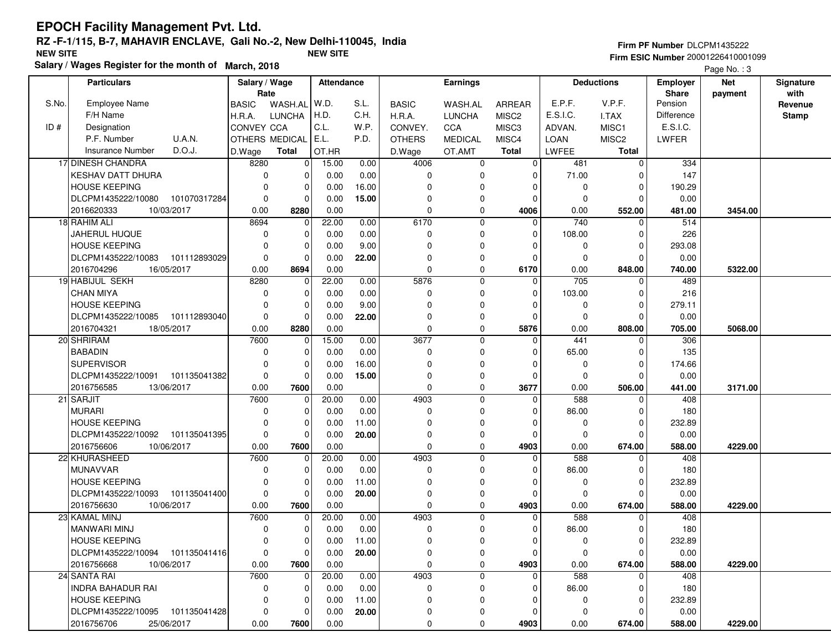|  | <b>Firm PF Number DLCPM1435222</b> |  |  |  |  |  |  |  |
|--|------------------------------------|--|--|--|--|--|--|--|
|  |                                    |  |  |  |  |  |  |  |

 **Firm ESIC Number** 20001226410001099Page No.: 3

|       | <b>Particulars</b>                 | Salary / Wage |                | <b>Attendance</b> |       |               | <b>Earnings</b> |                   |                  | <b>Deductions</b> | <b>Employer</b> | <b>Net</b> | Signature    |
|-------|------------------------------------|---------------|----------------|-------------------|-------|---------------|-----------------|-------------------|------------------|-------------------|-----------------|------------|--------------|
|       |                                    | Rate          |                |                   |       |               |                 |                   |                  |                   | Share           | payment    | with         |
| S.No. | <b>Employee Name</b>               | <b>BASIC</b>  | WASH.AL        | W.D.              | S.L.  | <b>BASIC</b>  | WASH.AL         | ARREAR            | E.P.F.           | V.P.F.            | Pension         |            | Revenue      |
|       | F/H Name                           | H.R.A.        | <b>LUNCHA</b>  | H.D.              | C.H.  | H.R.A.        | <b>LUNCHA</b>   | MISC <sub>2</sub> | E.S.I.C.         | I.TAX             | Difference      |            | <b>Stamp</b> |
| ID#   | Designation                        | CONVEY CCA    |                | C.L.              | W.P.  | CONVEY.       | CCA             | MISC3             | ADVAN.           | MISC1             | E.S.I.C.        |            |              |
|       | <b>U.A.N.</b><br>P.F. Number       |               | OTHERS MEDICAL | E.L.              | P.D.  | <b>OTHERS</b> | <b>MEDICAL</b>  | MISC4             | LOAN             | MISC <sub>2</sub> | LWFER           |            |              |
|       | D.O.J.<br>Insurance Number         | D.Wage        | Total          | OT.HR             |       | D.Wage        | OT.AMT          | Total             | LWFEE            | <b>Total</b>      |                 |            |              |
|       | 17 DINESH CHANDRA                  | 8280          | 0              | 15.00             | 0.00  | 4006          | 0               | $\overline{0}$    | 481              | $\mathbf 0$       | 334             |            |              |
|       | <b>KESHAV DATT DHURA</b>           | $\Omega$      | 0              | 0.00              | 0.00  | $\mathbf 0$   | 0               | 0                 | 71.00            | ∩                 | 147             |            |              |
|       | <b>HOUSE KEEPING</b>               | $\Omega$      | $\Omega$       | 0.00              | 16.00 | $\mathbf 0$   |                 | $\Omega$          | 0                | $\Omega$          | 190.29          |            |              |
|       | DLCPM1435222/10080<br>101070317284 | $\Omega$      | $\Omega$       | 0.00              | 15.00 | 0             | 0               | $\Omega$          | $\Omega$         | $\Omega$          | 0.00            |            |              |
|       | 2016620333<br>10/03/2017           | 0.00          | 8280           | 0.00              |       | $\mathbf 0$   | $\mathbf 0$     | 4006              | 0.00             | 552.00            | 481.00          | 3454.00    |              |
|       | 18 RAHIM ALI                       | 8694          | 0              | 22.00             | 0.00  | 6170          | $\mathbf 0$     | $\Omega$          | $\overline{740}$ | $\Omega$          | 514             |            |              |
|       | <b>JAHERUL HUQUE</b>               | $\Omega$      | $\Omega$       | 0.00              | 0.00  | 0             | 0               | $\Omega$          | 108.00           | $\Omega$          | 226             |            |              |
|       | <b>HOUSE KEEPING</b>               | $\Omega$      | 0              | 0.00              | 9.00  | $\mathbf 0$   | 0               | $\Omega$          | 0                | $\Omega$          | 293.08          |            |              |
|       | DLCPM1435222/10083<br>101112893029 | $\Omega$      | $\mathbf 0$    | 0.00              | 22.00 | $\Omega$      | $\Omega$        | $\Omega$          | $\mathbf 0$      | $\Omega$          | 0.00            |            |              |
|       | 2016704296<br>16/05/2017           | 0.00          | 8694           | 0.00              |       | $\mathbf 0$   | 0               | 6170              | 0.00             | 848.00            | 740.00          | 5322.00    |              |
|       | 19 HABIJUL SEKH                    | 8280          | 0              | 22.00             | 0.00  | 5876          | 0               | $\Omega$          | 705              | $\Omega$          | 489             |            |              |
|       | <b>CHAN MIYA</b>                   | $\Omega$      | $\Omega$       | 0.00              | 0.00  | $\mathbf 0$   | $\Omega$        | $\Omega$          | 103.00           | $\Omega$          | 216             |            |              |
|       | <b>HOUSE KEEPING</b>               |               | $\Omega$       | 0.00              | 9.00  | $\Omega$      |                 | $\Omega$          | 0                | $\Omega$          | 279.11          |            |              |
|       | DLCPM1435222/10085<br>101112893040 | $\Omega$      | $\Omega$       | 0.00              | 22.00 | $\mathbf 0$   | $\Omega$        | $\Omega$          | $\mathbf 0$      | $\Omega$          | 0.00            |            |              |
|       | 2016704321<br>18/05/2017           | 0.00          | 8280           | 0.00              |       | $\mathbf 0$   | 0               | 5876              | 0.00             | 808.00            | 705.00          | 5068.00    |              |
|       | 20 SHRIRAM                         | 7600          | $\mathbf 0$    | 15.00             | 0.00  | 3677          | $\mathbf 0$     | $\Omega$          | 441              | $\Omega$          | 306             |            |              |
|       | <b>BABADIN</b>                     | $\Omega$      | 0              | 0.00              | 0.00  | $\mathbf 0$   | 0               | 0                 | 65.00            | 0                 | 135             |            |              |
|       | <b>SUPERVISOR</b>                  | $\Omega$      | 0              | 0.00              | 16.00 | $\Omega$      |                 | $\Omega$          | 0                | $\Omega$          | 174.66          |            |              |
|       | DLCPM1435222/10091 101135041382    | $\Omega$      | $\Omega$       | 0.00              | 15.00 | $\Omega$      | 0               | $\Omega$          | 0                | $\Omega$          | 0.00            |            |              |
|       | 2016756585<br>13/06/2017           | 0.00          | 7600           | 0.00              |       | $\mathbf 0$   | 0               | 3677              | 0.00             | 506.00            | 441.00          | 3171.00    |              |
|       | 21 SARJIT                          | 7600          | 0              | 20.00             | 0.00  | 4903          | $\Omega$        | 0                 | 588              | $\Omega$          | 408             |            |              |
|       | <b>MURARI</b>                      | $\Omega$      | $\Omega$       | 0.00              | 0.00  | $\Omega$      | $\Omega$        | $\Omega$          | 86.00            | $\Omega$          | 180             |            |              |
|       | <b>HOUSE KEEPING</b>               | $\Omega$      | $\Omega$       | 0.00              | 11.00 | $\Omega$      | O               | $\Omega$          | 0                | $\Omega$          | 232.89          |            |              |
|       | DLCPM1435222/10092 101135041395    | $\mathbf 0$   | $\mathbf 0$    | 0.00              | 20.00 | $\mathbf 0$   | 0               | $\mathbf 0$       | $\mathbf 0$      | $\Omega$          | 0.00            |            |              |
|       | 2016756606<br>10/06/2017           | 0.00          | 7600           | 0.00              |       | $\mathbf 0$   | 0               | 4903              | 0.00             | 674.00            | 588.00          | 4229.00    |              |
|       | 22 KHURASHEED                      | 7600          | 0              | 20.00             | 0.00  | 4903          | $\Omega$        | $\Omega$          | 588              | $\Omega$          | 408             |            |              |
|       | <b>MUNAVVAR</b>                    | $\Omega$      | $\Omega$       | 0.00              | 0.00  | 0             | ŋ               | $\Omega$          | 86.00            | $\Omega$          | 180             |            |              |
|       | <b>HOUSE KEEPING</b>               | $\Omega$      | $\Omega$       | 0.00              | 11.00 | $\Omega$      |                 | $\Omega$          | 0                | $\Omega$          | 232.89          |            |              |
|       | 101135041400<br>DLCPM1435222/10093 | $\Omega$      | $\Omega$       | 0.00              | 20.00 | 0             | 0               | $\Omega$          | 0                | $\Omega$          | 0.00            |            |              |
|       | 2016756630<br>10/06/2017           | 0.00          | 7600           | 0.00              |       | $\mathbf 0$   | $\mathbf 0$     | 4903              | 0.00             | 674.00            | 588.00          | 4229.00    |              |
|       | 23 KAMAL MINJ                      | 7600          | 0              | 20.00             | 0.00  | 4903          | 0               | $\Omega$          | 588              | $\Omega$          | 408             |            |              |
|       | <b>MANWARI MINJ</b>                | $\Omega$      | 0              | 0.00              | 0.00  | $\mathbf 0$   |                 | 0                 | 86.00            |                   | 180             |            |              |
|       | <b>HOUSE KEEPING</b>               | $\Omega$      | 0              | 0.00              | 11.00 | $\mathbf 0$   | 0               | 0                 | 0                | 0                 | 232.89          |            |              |
|       | DLCPM1435222/10094 101135041416    | 0             | 0              | 0.00              | 20.00 | 0             | 0               | 0                 | $\mathbf 0$      | 0                 | 0.00            |            |              |
|       | 2016756668<br>10/06/2017           | 0.00          | 7600           | 0.00              |       | 0             | 0               | 4903              | 0.00             | 674.00            | 588.00          | 4229.00    |              |
|       | 24 SANTA RAI                       | 7600          | 0              | 20.00             | 0.00  | 4903          | 0               | $\Omega$          | 588              | $\Omega$          | 408             |            |              |
|       | <b>INDRA BAHADUR RAI</b>           | 0             | 0              | 0.00              | 0.00  | 0             | 0               | $\Omega$          | 86.00            | $\Omega$          | 180             |            |              |
|       | <b>HOUSE KEEPING</b>               | $\Omega$      | 0              | 0.00              | 11.00 | 0             | $\Omega$        | $\Omega$          | 0                | $\Omega$          | 232.89          |            |              |
|       | DLCPM1435222/10095 101135041428    | 0             | 0              | 0.00              | 20.00 | 0             | 0               | 0                 | 0                | - 0               | 0.00            |            |              |
|       | 2016756706<br>25/06/2017           | 0.00          | 7600           | 0.00              |       | 0             | 0               | 4903              | 0.00             | 674.00            | 588.00          | 4229.00    |              |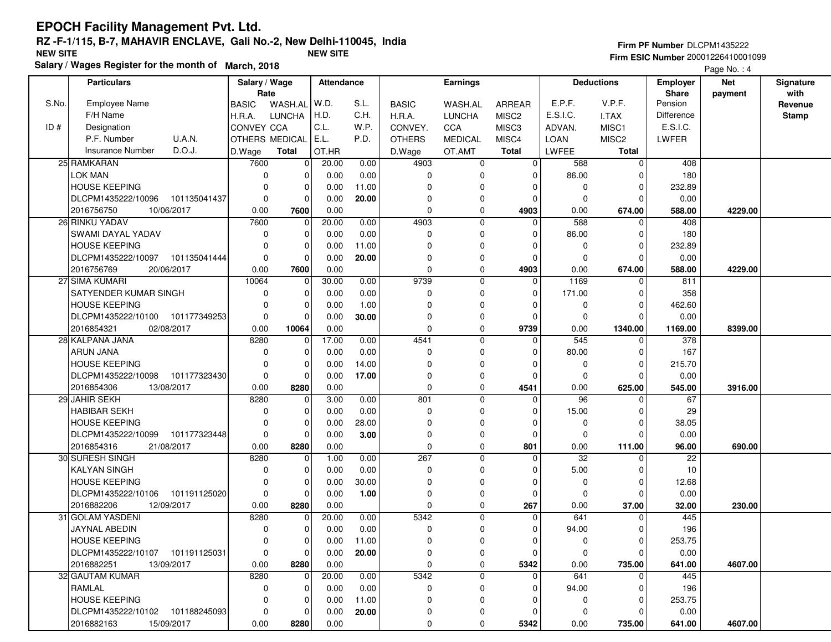#### **EPOCH Facility Management Pvt. Ltd. RZ -F-1/115, B-7, MAHAVIR ENCLAVE, Gali No.-2, New Delhi-110045, IndiaFirm ESIC Number** 20001226410001099 **NEW SITE NEW SITE**

**Salary / Wages Register for the month of March, 2018**

|  | Firm PF Number DLCPM1435222 |  |
|--|-----------------------------|--|
|  |                             |  |

Page No. : 4

|       | <b>Particulars</b>                 | Salary / Wage |                | <b>Attendance</b> |       |               | <b>Earnings</b> |                   |                 | <b>Deductions</b> | <b>Employer</b> | <b>Net</b> | Signature    |
|-------|------------------------------------|---------------|----------------|-------------------|-------|---------------|-----------------|-------------------|-----------------|-------------------|-----------------|------------|--------------|
|       |                                    | Rate          |                |                   |       |               |                 |                   |                 |                   | Share           | payment    | with         |
| S.No. | <b>Employee Name</b>               | <b>BASIC</b>  | WASH.AL        | W.D.              | S.L.  | <b>BASIC</b>  | WASH.AL         | ARREAR            | E.P.F.          | V.P.F.            | Pension         |            | Revenue      |
|       | F/H Name                           | H.R.A.        | <b>LUNCHA</b>  | H.D.              | C.H.  | H.R.A.        | <b>LUNCHA</b>   | MISC <sub>2</sub> | E.S.I.C.        | I.TAX             | Difference      |            | <b>Stamp</b> |
| ID#   | Designation                        | CONVEY CCA    |                | C.L.              | W.P.  | CONVEY.       | CCA             | MISC3             | ADVAN.          | MISC1             | E.S.I.C.        |            |              |
|       | <b>U.A.N.</b><br>P.F. Number       |               | OTHERS MEDICAL | E.L.              | P.D.  | <b>OTHERS</b> | <b>MEDICAL</b>  | MISC4             | <b>LOAN</b>     | MISC <sub>2</sub> | LWFER           |            |              |
|       | D.O.J.<br><b>Insurance Number</b>  | D.Wage        | <b>Total</b>   | OT.HR             |       | D.Wage        | OT.AMT          | <b>Total</b>      | LWFEE           | <b>Total</b>      |                 |            |              |
|       | 25 RAMKARAN                        | 7600          | 0              | 20.00             | 0.00  | 4903          | $\mathbf 0$     | $\Omega$          | 588             | $\Omega$          | 408             |            |              |
|       | LOK MAN                            | $\mathbf 0$   | 0              | 0.00              | 0.00  | $\mathbf 0$   | 0               | $\Omega$          | 86.00           | $\Omega$          | 180             |            |              |
|       | <b>HOUSE KEEPING</b>               | $\Omega$      | 0              | 0.00              | 11.00 | $\Omega$      | $\Omega$        | $\Omega$          | $\mathbf 0$     | $\Omega$          | 232.89          |            |              |
|       | DLCPM1435222/10096 101135041437    | $\mathbf 0$   | 0              | 0.00              | 20.00 | 0             | 0               | $\Omega$          | $\mathbf 0$     | $\Omega$          | 0.00            |            |              |
|       | 2016756750<br>10/06/2017           | 0.00          | 7600           | 0.00              |       | $\mathbf 0$   | 0               | 4903              | 0.00            | 674.00            | 588.00          | 4229.00    |              |
|       | 26 RINKU YADAV                     | 7600          | 0              | 20.00             | 0.00  | 4903          | $\overline{0}$  | 0                 | 588             | 0                 | 408             |            |              |
|       | SWAMI DAYAL YADAV                  | 0             | 0              | 0.00              | 0.00  | $\mathbf 0$   | $\Omega$        | $\Omega$          | 86.00           | 0                 | 180             |            |              |
|       | <b>HOUSE KEEPING</b>               | $\Omega$      | 0              | 0.00              | 11.00 | $\Omega$      | $\Omega$        | $\Omega$          | 0               | $\Omega$          | 232.89          |            |              |
|       | DLCPM1435222/10097 101135041444    | $\Omega$      | 0              | 0.00              | 20.00 | $\Omega$      | $\Omega$        | $\Omega$          | $\Omega$        | $\Omega$          | 0.00            |            |              |
|       | 2016756769<br>20/06/2017           | 0.00          | 7600           | 0.00              |       | $\mathbf 0$   | 0               | 4903              | 0.00            | 674.00            | 588.00          | 4229.00    |              |
|       | 27 SIMA KUMARI                     | 10064         | 0              | 30.00             | 0.00  | 9739          | $\mathbf 0$     | $\Omega$          | 1169            | $\Omega$          | 811             |            |              |
|       | SATYENDER KUMAR SINGH              | 0             | 0              | 0.00              | 0.00  | 0             | $\Omega$        | $\Omega$          | 171.00          | $\Omega$          | 358             |            |              |
|       | <b>HOUSE KEEPING</b>               | $\Omega$      | 0              | 0.00              | 1.00  | 0             | $\Omega$        | $\Omega$          | $\mathbf 0$     | 0                 | 462.60          |            |              |
|       | DLCPM1435222/10100 101177349253    | $\mathbf 0$   | $\mathbf 0$    | 0.00              | 30.00 | $\Omega$      | 0               | 0                 | $\mathbf 0$     | $\Omega$          | 0.00            |            |              |
|       | 2016854321<br>02/08/2017           | 0.00          | 10064          | 0.00              |       | $\mathbf 0$   | 0               | 9739              | 0.00            | 1340.00           | 1169.00         | 8399.00    |              |
|       | 28 KALPANA JANA                    | 8280          | 0              | 17.00             | 0.00  | 4541          | $\mathbf 0$     | $\Omega$          | 545             | $\Omega$          | 378             |            |              |
|       | <b>ARUN JANA</b>                   | $\Omega$      | 0              | 0.00              | 0.00  | $\mathbf 0$   | $\mathbf 0$     | $\Omega$          | 80.00           | $\Omega$          | 167             |            |              |
|       | <b>HOUSE KEEPING</b>               | $\Omega$      | 0              | 0.00              | 14.00 | $\Omega$      | $\Omega$        | $\Omega$          | 0               | $\Omega$          | 215.70          |            |              |
|       | DLCPM1435222/10098 101177323430    | $\mathbf 0$   | $\Omega$       | 0.00              | 17.00 | $\Omega$      | 0               | $\Omega$          | $\Omega$        | $\Omega$          | 0.00            |            |              |
|       | 2016854306<br>13/08/2017           | 0.00          | 8280           | 0.00              |       | $\mathbf 0$   | $\mathbf 0$     | 4541              | 0.00            | 625.00            | 545.00          | 3916.00    |              |
|       | 29 JAHIR SEKH                      | 8280          | $\mathbf 0$    | 3.00              | 0.00  | 801           | $\mathbf 0$     | $\Omega$          | 96              | $\Omega$          | 67              |            |              |
|       | <b>HABIBAR SEKH</b>                | 0             | 0              | 0.00              | 0.00  | 0             | $\mathbf 0$     | $\Omega$          | 15.00           | 0                 | 29              |            |              |
|       | <b>HOUSE KEEPING</b>               | $\Omega$      | 0              | 0.00              | 28.00 | $\Omega$      | $\Omega$        | $\Omega$          | $\mathbf 0$     | $\Omega$          | 38.05           |            |              |
|       | DLCPM1435222/10099 101177323448    | $\mathbf 0$   | 0              | 0.00              | 3.00  | $\Omega$      | 0               | $\Omega$          | $\mathbf 0$     | $\Omega$          | 0.00            |            |              |
|       | 2016854316<br>21/08/2017           | 0.00          | 8280           | 0.00              |       | $\mathbf 0$   | 0               | 801               | 0.00            | 111.00            | 96.00           | 690.00     |              |
|       | 30 SURESH SINGH                    | 8280          | 0              | 1.00              | 0.00  | 267           | $\mathbf 0$     | $\Omega$          | $\overline{32}$ | $\Omega$          | $\overline{22}$ |            |              |
|       | <b>KALYAN SINGH</b>                | $\Omega$      | 0              | 0.00              | 0.00  | $\mathbf 0$   | $\mathbf 0$     |                   | 5.00            | O                 | 10              |            |              |
|       | <b>HOUSE KEEPING</b>               | $\Omega$      | 0              | 0.00              | 30.00 | 0             | $\Omega$        | $\Omega$          | 0               | $\Omega$          | 12.68           |            |              |
|       | DLCPM1435222/10106<br>101191125020 | $\mathbf 0$   | $\mathbf 0$    | 0.00              | 1.00  | 0             | 0               | $\Omega$          | $\mathbf 0$     | $\Omega$          | 0.00            |            |              |
|       | 2016882206<br>12/09/2017           | 0.00          | 8280           | 0.00              |       | $\mathbf 0$   | 0               | 267               | 0.00            | 37.00             | 32.00           | 230.00     |              |
|       | 31 GOLAM YASDENI                   | 8280          | 0              | 20.00             | 0.00  | 5342          | 0               | $\mathbf 0$       | 641             | $\mathbf 0$       | 445             |            |              |
|       | JAYNAL ABEDIN                      | 0             | 0              | 0.00              | 0.00  | 0             | $\Omega$        | $\Omega$          | 94.00           | 0                 | 196             |            |              |
|       | <b>HOUSE KEEPING</b>               | $\mathbf 0$   | 0              | 0.00              | 11.00 | $\mathbf 0$   | 0               | $\Omega$          | $\mathbf 0$     | $\Omega$          | 253.75          |            |              |
|       | DLCPM1435222/10107 101191125031    | 0             | 0              | $0.00\,$          | 20.00 | 0             | 0               | 0                 | 0               | 0                 | 0.00            |            |              |
|       | 2016882251<br>13/09/2017           | 0.00          | 8280           | 0.00              |       | $\mathbf 0$   | 0               | 5342              | 0.00            | 735.00            | 641.00          | 4607.00    |              |
|       | 32 GAUTAM KUMAR                    | 8280          | 0              | 20.00             | 0.00  | 5342          | $\mathbf 0$     | 0                 | 641             | $\Omega$          | 445             |            |              |
|       | RAMLAL                             | 0             | 0              | 0.00              | 0.00  | 0             | 0               | 0                 | 94.00           | 0                 | 196             |            |              |
|       | <b>HOUSE KEEPING</b>               | 0             | 0              | 0.00              | 11.00 | 0             | 0               | <sup>0</sup>      | 0               | 0                 | 253.75          |            |              |
|       | DLCPM1435222/10102 101188245093    | 0             | 0              | 0.00              | 20.00 | 0             | 0               |                   | 0               | 0                 | 0.00            |            |              |
|       | 15/09/2017<br>2016882163           | 0.00          | 8280           | 0.00              |       | 0             | 0               | 5342              | 0.00            | 735.00            | 641.00          | 4607.00    |              |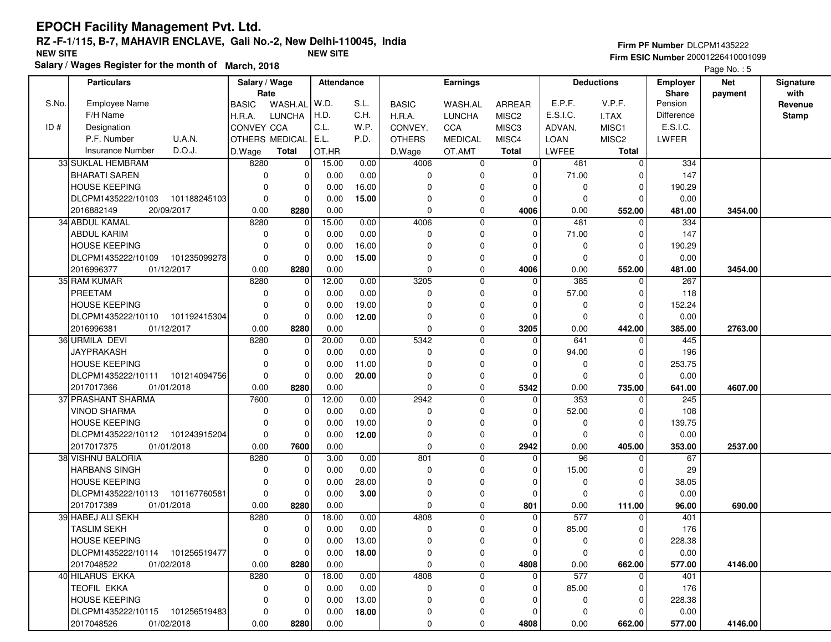| <b>Firm PF Number DLCPM1435222</b> |  |  |  |  |  |  |  |  |
|------------------------------------|--|--|--|--|--|--|--|--|
|                                    |  |  |  |  |  |  |  |  |

**Firm ESIC Number** 20001226410001099

Page No. : 5

|       | <b>Particulars</b>                 | Salary / Wage |                | <b>Attendance</b> | <b>Earnings</b> |               |                | <b>Deductions</b> | <b>Employer</b> | <b>Net</b>        | Signature        |         |              |
|-------|------------------------------------|---------------|----------------|-------------------|-----------------|---------------|----------------|-------------------|-----------------|-------------------|------------------|---------|--------------|
|       |                                    | Rate          |                |                   |                 |               |                |                   |                 |                   | <b>Share</b>     | payment | with         |
| S.No. | <b>Employee Name</b>               | <b>BASIC</b>  | WASH.AL        | W.D.              | S.L.            | <b>BASIC</b>  | WASH.AL        | <b>ARREAR</b>     | E.P.F.          | V.P.F.            | Pension          |         | Revenue      |
|       | F/H Name                           | H.R.A.        | <b>LUNCHA</b>  | H.D.              | C.H.            | H.R.A.        | <b>LUNCHA</b>  | MISC <sub>2</sub> | E.S.I.C.        | I.TAX             | Difference       |         | <b>Stamp</b> |
| ID#   | Designation                        | CONVEY CCA    |                | C.L.              | W.P.            | CONVEY.       | CCA            | MISC3             | ADVAN.          | MISC1             | E.S.I.C.         |         |              |
|       | P.F. Number<br>U.A.N.              |               | OTHERS MEDICAL | E.L.              | P.D.            | <b>OTHERS</b> | <b>MEDICAL</b> | MISC4             | <b>LOAN</b>     | MISC <sub>2</sub> | LWFER            |         |              |
|       | D.O.J.<br>Insurance Number         | D.Wage        | Total          | OT.HR             |                 | D.Wage        | OT.AMT         | <b>Total</b>      | LWFEE           | Total             |                  |         |              |
|       | 33 SUKLAL HEMBRAM                  | 8280          | 0              | 15.00             | 0.00            | 4006          | 0              | $\overline{0}$    | 481             | $\Omega$          | 334              |         |              |
|       | <b>BHARATI SAREN</b>               | $\Omega$      | $\Omega$       | 0.00              | 0.00            | 0             | ŋ              | $\Omega$          | 71.00           |                   | 147              |         |              |
|       | <b>HOUSE KEEPING</b>               | $\Omega$      | $\Omega$       | 0.00              | 16.00           | $\Omega$      |                | $\Omega$          | 0               | $\Omega$          | 190.29           |         |              |
|       | DLCPM1435222/10103 101188245103    | $\Omega$      | $\Omega$       | 0.00              | 15.00           | 0             |                | $\Omega$          | $\mathbf 0$     | $\Omega$          | 0.00             |         |              |
|       | 2016882149<br>20/09/2017           | 0.00          | 8280           | 0.00              |                 | $\mathbf 0$   | 0              | 4006              | 0.00            | 552.00            | 481.00           | 3454.00 |              |
|       | 34 ABDUL KAMAL                     | 8280          | 0              | 15.00             | 0.00            | 4006          | $\mathbf 0$    | $\Omega$          | 481             |                   | 334              |         |              |
|       | <b>ABDUL KARIM</b>                 | $\Omega$      | $\Omega$       | 0.00              | 0.00            | $\mathbf 0$   | $\Omega$       | $\Omega$          | 71.00           | $\Omega$          | 147              |         |              |
|       | <b>HOUSE KEEPING</b>               | $\Omega$      | $\Omega$       | 0.00              | 16.00           | $\Omega$      |                | $\Omega$          | 0               | $\mathbf 0$       | 190.29           |         |              |
|       | DLCPM1435222/10109 101235099278    | $\Omega$      | $\mathbf 0$    | 0.00              | 15.00           | $\Omega$      | $\Omega$       | $\Omega$          | 0               | $\Omega$          | 0.00             |         |              |
|       | 2016996377<br>01/12/2017           | 0.00          | 8280           | 0.00              |                 | $\mathbf 0$   | 0              | 4006              | 0.00            | 552.00            | 481.00           | 3454.00 |              |
|       | 35 RAM KUMAR                       | 8280          | $\mathbf 0$    | 12.00             | 0.00            | 3205          | $\Omega$       | $\Omega$          | 385             | $\Omega$          | 267              |         |              |
|       | PREETAM                            | $\Omega$      | $\Omega$       | 0.00              | 0.00            | $\mathbf 0$   |                | $\Omega$          | 57.00           | $\Omega$          | 118              |         |              |
|       | <b>HOUSE KEEPING</b>               | $\Omega$      | $\Omega$       | 0.00              | 19.00           | $\Omega$      |                | $\Omega$          | 0               | $\Omega$          | 152.24           |         |              |
|       | DLCPM1435222/10110 101192415304    | $\Omega$      | $\mathbf 0$    | 0.00              | 12.00           | $\mathbf 0$   | 0              | $\Omega$          | $\mathbf 0$     | $\Omega$          | 0.00             |         |              |
|       | 2016996381<br>01/12/2017           | 0.00          | 8280           | 0.00              |                 | $\mathbf 0$   | 0              | 3205              | 0.00            | 442.00            | 385.00           | 2763.00 |              |
|       | 36 URMILA DEVI                     | 8280          | 0              | 20.00             | 0.00            | 5342          | $\mathbf 0$    | 0                 | 641             | 0                 | 445              |         |              |
|       | <b>JAYPRAKASH</b>                  | $\Omega$      | $\Omega$       | 0.00              | 0.00            | $\mathbf 0$   | $\Omega$       | $\Omega$          | 94.00           | $\Omega$          | 196              |         |              |
|       | <b>HOUSE KEEPING</b>               | $\Omega$      | $\Omega$       | 0.00              | 11.00           | $\Omega$      |                | 0                 | 0               | $\Omega$          | 253.75           |         |              |
|       | DLCPM1435222/10111<br>101214094756 | $\Omega$      | $\Omega$       | 0.00              | 20.00           | $\Omega$      | $\Omega$       | $\Omega$          | 0               | $\Omega$          | 0.00             |         |              |
|       | 2017017366<br>01/01/2018           | 0.00          | 8280           | 0.00              |                 | $\mathbf 0$   | $\mathbf 0$    | 5342              | 0.00            | 735.00            | 641.00           | 4607.00 |              |
|       | 37 PRASHANT SHARMA                 | 7600          | $\Omega$       | 12.00             | 0.00            | 2942          | $\Omega$       | $\Omega$          | 353             | $\Omega$          | $\overline{245}$ |         |              |
|       | <b>VINOD SHARMA</b>                | $\Omega$      | $\Omega$       | 0.00              | 0.00            | $\mathbf 0$   | $\Omega$       | $\Omega$          | 52.00           | $\Omega$          | 108              |         |              |
|       | <b>HOUSE KEEPING</b>               | $\Omega$      | $\mathbf 0$    | 0.00              | 19.00           | $\mathbf 0$   | $\Omega$       | $\Omega$          | 0               | $\mathbf 0$       | 139.75           |         |              |
|       | 101243915204<br>DLCPM1435222/10112 | $\mathbf 0$   | $\mathbf 0$    | 0.00              | 12.00           | $\mathbf 0$   | 0              | 0                 | 0               | $\Omega$          | 0.00             |         |              |
|       | 2017017375<br>01/01/2018           | 0.00          | 7600           | 0.00              |                 | $\mathbf 0$   | $\mathbf 0$    | 2942              | 0.00            | 405.00            | 353.00           | 2537.00 |              |
|       | 38 VISHNU BALORIA                  | 8280          | 0              | 3.00              | 0.00            | 801           | $\Omega$       | $\Omega$          | $\overline{96}$ | $\Omega$          | 67               |         |              |
|       | <b>HARBANS SINGH</b>               | $\Omega$      | $\Omega$       | 0.00              | 0.00            | $\mathbf 0$   | $\Omega$       | $\Omega$          | 15.00           | <sup>0</sup>      | 29               |         |              |
|       | <b>HOUSE KEEPING</b>               | $\Omega$      | $\Omega$       | 0.00              | 28.00           | $\Omega$      |                | $\Omega$          | 0               | $\Omega$          | 38.05            |         |              |
|       | DLCPM1435222/10113<br>101167760581 | $\Omega$      | $\Omega$       | 0.00              | 3.00            | $\mathbf{0}$  | $\Omega$       | $\Omega$          | $\Omega$        |                   | 0.00             |         |              |
|       | 2017017389<br>01/01/2018           | 0.00          | 8280           | 0.00              |                 | $\mathbf 0$   | 0              | 801               | 0.00            | 111.00            | 96.00            | 690.00  |              |
|       | 39 HABEJ ALI SEKH                  | 8280          | 0              | 18.00             | 0.00            | 4808          | $\mathbf 0$    | $\Omega$          | 577             | $\Omega$          | 401              |         |              |
|       | <b>TASLIM SEKH</b>                 | $\Omega$      | 0              | 0.00              | 0.00            | $\mathbf 0$   |                | 0                 | 85.00           | <sup>0</sup>      | 176              |         |              |
|       | <b>HOUSE KEEPING</b>               | $\Omega$      | 0              | 0.00              | 13.00           | $\mathbf{0}$  | $\Omega$       | $\Omega$          | $\mathbf 0$     | $\Omega$          | 228.38           |         |              |
|       | DLCPM1435222/10114 101256519477    | 0             | 0              | $0.00\,$          | 18.00           | 0             | 0              | 0                 | 0               | 0                 | 0.00             |         |              |
|       | 2017048522<br>01/02/2018           | 0.00          | 8280           | 0.00              |                 | 0             | 0              | 4808              | 0.00            | 662.00            | 577.00           | 4146.00 |              |
|       | 40 HILARUS EKKA                    | 8280          | 0              | 18.00             | 0.00            | 4808          | 0              | 0                 | 577             | $\Omega$          | 401              |         |              |
|       | TEOFIL EKKA                        | $\Omega$      | 0              | 0.00              | 0.00            | 0             | 0              | $\Omega$          | 85.00           | $\Omega$          | 176              |         |              |
|       | <b>HOUSE KEEPING</b>               | $\Omega$      | 0              | 0.00              | 13.00           | 0             | $\Omega$       | $\Omega$          | 0               | $\Omega$          | 228.38           |         |              |
|       | DLCPM1435222/10115 101256519483    | $\mathbf 0$   | 0              | 0.00              | 18.00           | 0             | 0              | $\Omega$          | 0               | - 0               | 0.00             |         |              |
|       | 2017048526<br>01/02/2018           | 0.00          | 8280           | 0.00              |                 | 0             | 0              | 4808              | 0.00            | 662.00            | 577.00           | 4146.00 |              |